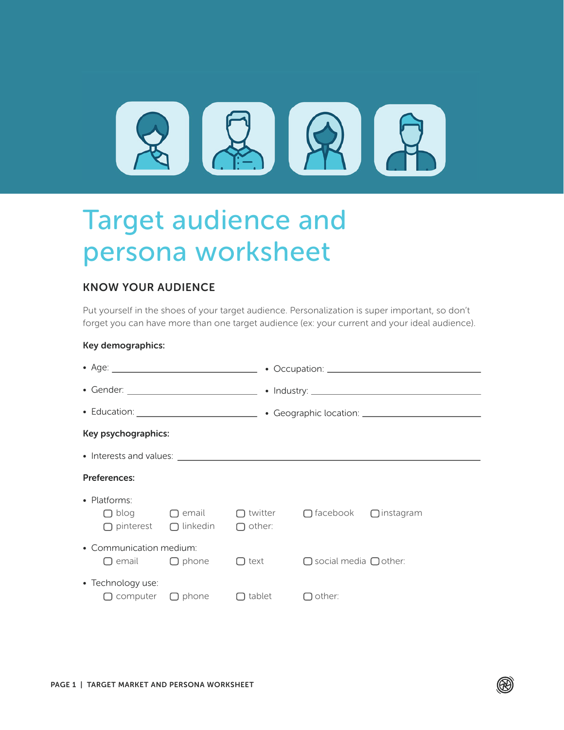

# Target audience and persona worksheet

## KNOW YOUR AUDIENCE

Put yourself in the shoes of your target audience. Personalization is super important, so don't forget you can have more than one target audience (ex: your current and your ideal audience).

#### Key demographics:

| Key psychographics:     |                                                         |                                            |                                                                          |  |  |
|-------------------------|---------------------------------------------------------|--------------------------------------------|--------------------------------------------------------------------------|--|--|
|                         |                                                         |                                            |                                                                          |  |  |
| <b>Preferences:</b>     |                                                         |                                            |                                                                          |  |  |
| • Platforms:            | $\bigcap$ pinterest $\bigcap$ linkedin $\bigcap$ other: |                                            | $\Box$ blog $\Box$ email $\Box$ twitter $\Box$ facebook $\Box$ instagram |  |  |
| • Communication medium: | $\Box$ email $\Box$ phone                               | $\Box$ text                                | $\Box$ social media $\Box$ other:                                        |  |  |
| • Technology use:       |                                                         | $\Box$ computer $\Box$ phone $\Box$ tablet | $\Box$ other:                                                            |  |  |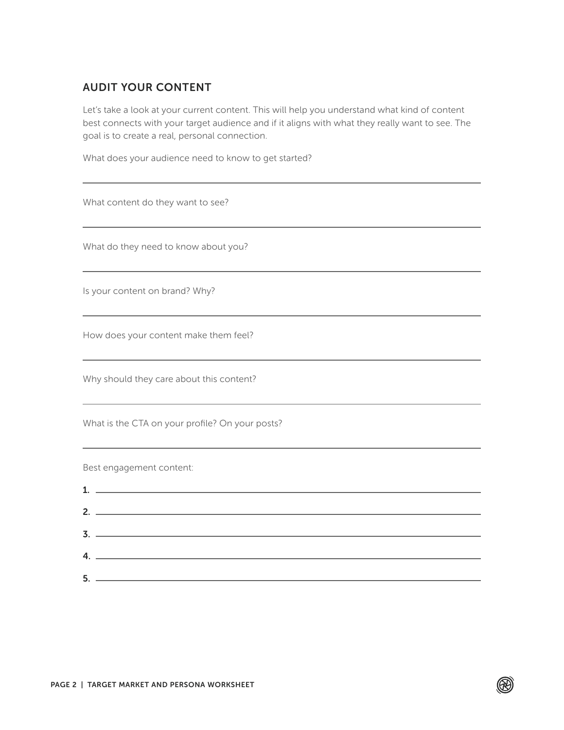# AUDIT YOUR CONTENT

Let's take a look at your current content. This will help you understand what kind of content best connects with your target audience and if it aligns with what they really want to see. The goal is to create a real, personal connection.

What does your audience need to know to get started?

| What content do they want to see?                                                                                                                                                                                                                                                                                                                                                                                           |
|-----------------------------------------------------------------------------------------------------------------------------------------------------------------------------------------------------------------------------------------------------------------------------------------------------------------------------------------------------------------------------------------------------------------------------|
| What do they need to know about you?                                                                                                                                                                                                                                                                                                                                                                                        |
| Is your content on brand? Why?                                                                                                                                                                                                                                                                                                                                                                                              |
| How does your content make them feel?                                                                                                                                                                                                                                                                                                                                                                                       |
| Why should they care about this content?                                                                                                                                                                                                                                                                                                                                                                                    |
| What is the CTA on your profile? On your posts?                                                                                                                                                                                                                                                                                                                                                                             |
| Best engagement content:                                                                                                                                                                                                                                                                                                                                                                                                    |
|                                                                                                                                                                                                                                                                                                                                                                                                                             |
|                                                                                                                                                                                                                                                                                                                                                                                                                             |
| 4. $\overline{ }$ $\overline{ }$ $\overline{ }$ $\overline{ }$ $\overline{ }$ $\overline{ }$ $\overline{ }$ $\overline{ }$ $\overline{ }$ $\overline{ }$ $\overline{ }$ $\overline{ }$ $\overline{ }$ $\overline{ }$ $\overline{ }$ $\overline{ }$ $\overline{ }$ $\overline{ }$ $\overline{ }$ $\overline{ }$ $\overline{ }$ $\overline{ }$ $\overline{ }$ $\overline{ }$ $\overline{ }$ $\overline{ }$ $\overline{ }$ $\$ |
|                                                                                                                                                                                                                                                                                                                                                                                                                             |